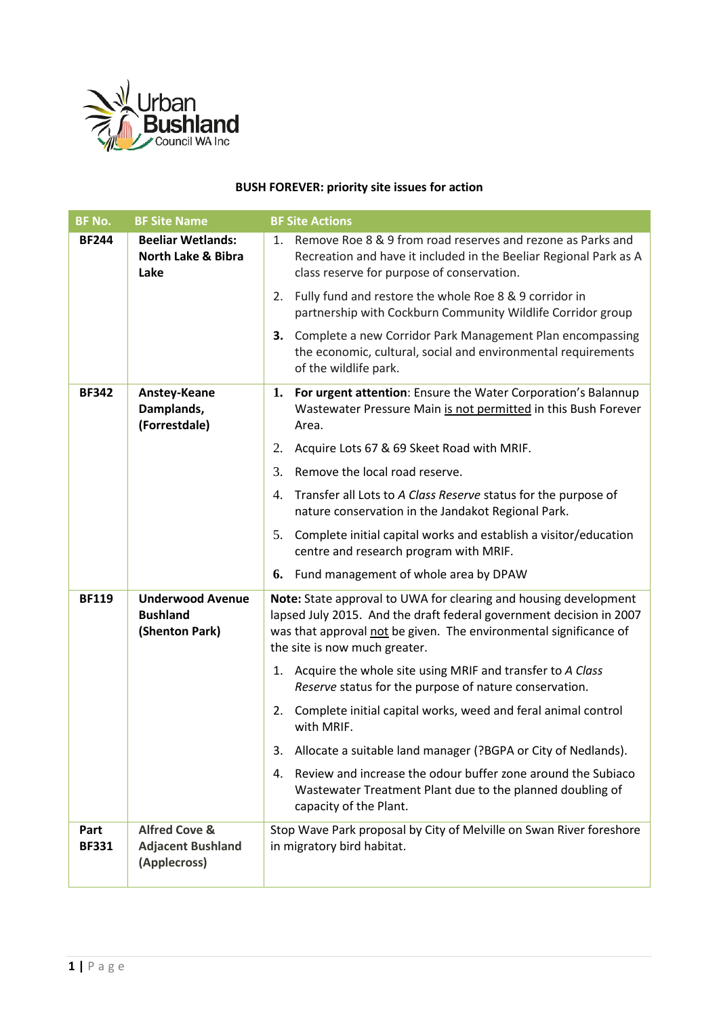

## **BUSH FOREVER: priority site issues for action**

| <b>BF No.</b>        | <b>BF Site Name</b>                                                  | <b>BF Site Actions</b>                                                                                                                                                                                                                        |  |  |
|----------------------|----------------------------------------------------------------------|-----------------------------------------------------------------------------------------------------------------------------------------------------------------------------------------------------------------------------------------------|--|--|
| <b>BF244</b>         | <b>Beeliar Wetlands:</b><br><b>North Lake &amp; Bibra</b><br>Lake    | 1. Remove Roe 8 & 9 from road reserves and rezone as Parks and<br>Recreation and have it included in the Beeliar Regional Park as A<br>class reserve for purpose of conservation.                                                             |  |  |
|                      |                                                                      | 2. Fully fund and restore the whole Roe 8 & 9 corridor in<br>partnership with Cockburn Community Wildlife Corridor group                                                                                                                      |  |  |
|                      |                                                                      | 3. Complete a new Corridor Park Management Plan encompassing<br>the economic, cultural, social and environmental requirements<br>of the wildlife park.                                                                                        |  |  |
| <b>BF342</b>         | Anstey-Keane<br>Damplands,<br>(Forrestdale)                          | 1. For urgent attention: Ensure the Water Corporation's Balannup<br>Wastewater Pressure Main is not permitted in this Bush Forever<br>Area.                                                                                                   |  |  |
|                      |                                                                      | Acquire Lots 67 & 69 Skeet Road with MRIF.<br>2.                                                                                                                                                                                              |  |  |
|                      |                                                                      | 3.<br>Remove the local road reserve.                                                                                                                                                                                                          |  |  |
|                      |                                                                      | Transfer all Lots to A Class Reserve status for the purpose of<br>4.<br>nature conservation in the Jandakot Regional Park.                                                                                                                    |  |  |
|                      |                                                                      | 5. Complete initial capital works and establish a visitor/education<br>centre and research program with MRIF.                                                                                                                                 |  |  |
|                      |                                                                      | 6. Fund management of whole area by DPAW                                                                                                                                                                                                      |  |  |
| <b>BF119</b>         | <b>Underwood Avenue</b><br><b>Bushland</b><br>(Shenton Park)         | Note: State approval to UWA for clearing and housing development<br>lapsed July 2015. And the draft federal government decision in 2007<br>was that approval not be given. The environmental significance of<br>the site is now much greater. |  |  |
|                      |                                                                      | 1. Acquire the whole site using MRIF and transfer to A Class<br>Reserve status for the purpose of nature conservation.                                                                                                                        |  |  |
|                      |                                                                      | Complete initial capital works, weed and feral animal control<br>2.<br>with MRIF.                                                                                                                                                             |  |  |
|                      |                                                                      | 3. Allocate a suitable land manager (?BGPA or City of Nedlands).                                                                                                                                                                              |  |  |
|                      |                                                                      | 4. Review and increase the odour buffer zone around the Subiaco<br>Wastewater Treatment Plant due to the planned doubling of<br>capacity of the Plant.                                                                                        |  |  |
| Part<br><b>BF331</b> | <b>Alfred Cove &amp;</b><br><b>Adjacent Bushland</b><br>(Applecross) | Stop Wave Park proposal by City of Melville on Swan River foreshore<br>in migratory bird habitat.                                                                                                                                             |  |  |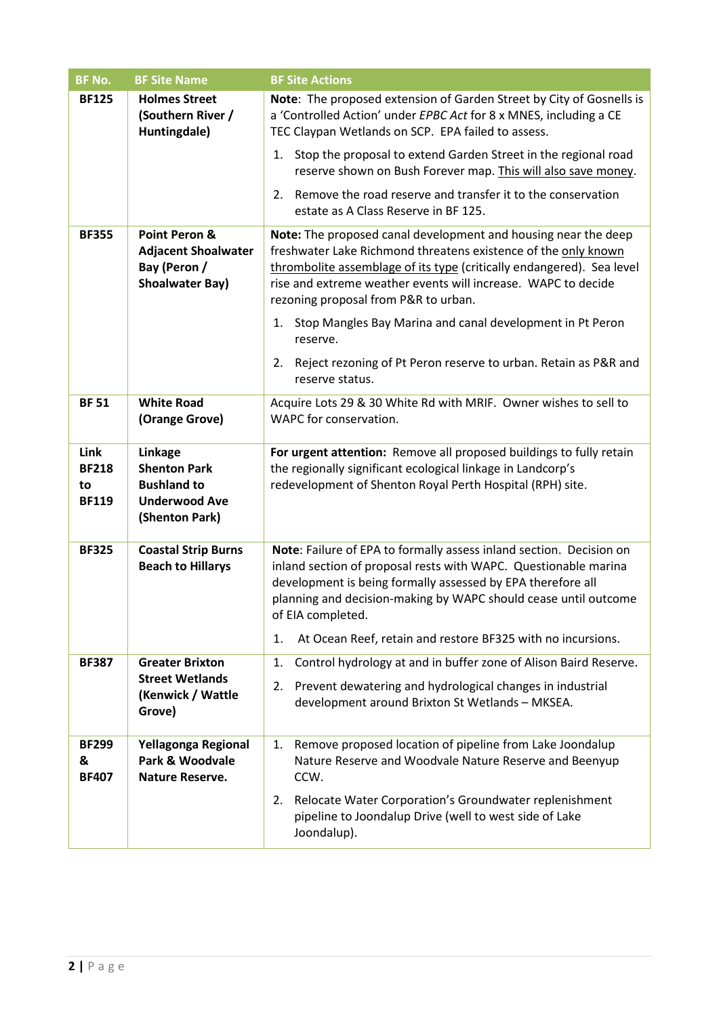| <b>BF No.</b>                              | <b>BF Site Name</b>                                                                            | <b>BF Site Actions</b>                                                                                                                                                                                                                                                                                                                                             |  |  |
|--------------------------------------------|------------------------------------------------------------------------------------------------|--------------------------------------------------------------------------------------------------------------------------------------------------------------------------------------------------------------------------------------------------------------------------------------------------------------------------------------------------------------------|--|--|
| <b>BF125</b>                               | <b>Holmes Street</b><br>(Southern River /<br>Huntingdale)                                      | Note: The proposed extension of Garden Street by City of Gosnells is<br>a 'Controlled Action' under EPBC Act for 8 x MNES, including a CE<br>TEC Claypan Wetlands on SCP. EPA failed to assess.                                                                                                                                                                    |  |  |
|                                            |                                                                                                | 1. Stop the proposal to extend Garden Street in the regional road<br>reserve shown on Bush Forever map. This will also save money.                                                                                                                                                                                                                                 |  |  |
|                                            |                                                                                                | 2. Remove the road reserve and transfer it to the conservation<br>estate as A Class Reserve in BF 125.                                                                                                                                                                                                                                                             |  |  |
| <b>BF355</b>                               | Point Peron &<br><b>Adjacent Shoalwater</b><br>Bay (Peron /<br><b>Shoalwater Bay)</b>          | Note: The proposed canal development and housing near the deep<br>freshwater Lake Richmond threatens existence of the only known<br>thrombolite assemblage of its type (critically endangered). Sea level<br>rise and extreme weather events will increase. WAPC to decide<br>rezoning proposal from P&R to urban.                                                 |  |  |
|                                            |                                                                                                | Stop Mangles Bay Marina and canal development in Pt Peron<br>1.<br>reserve.                                                                                                                                                                                                                                                                                        |  |  |
|                                            |                                                                                                | Reject rezoning of Pt Peron reserve to urban. Retain as P&R and<br>2.<br>reserve status.                                                                                                                                                                                                                                                                           |  |  |
| <b>BF 51</b>                               | <b>White Road</b><br>(Orange Grove)                                                            | Acquire Lots 29 & 30 White Rd with MRIF. Owner wishes to sell to<br>WAPC for conservation.                                                                                                                                                                                                                                                                         |  |  |
| Link<br><b>BF218</b><br>to<br><b>BF119</b> | Linkage<br><b>Shenton Park</b><br><b>Bushland to</b><br><b>Underwood Ave</b><br>(Shenton Park) | For urgent attention: Remove all proposed buildings to fully retain<br>the regionally significant ecological linkage in Landcorp's<br>redevelopment of Shenton Royal Perth Hospital (RPH) site.                                                                                                                                                                    |  |  |
| <b>BF325</b>                               | <b>Coastal Strip Burns</b><br><b>Beach to Hillarys</b>                                         | Note: Failure of EPA to formally assess inland section. Decision on<br>inland section of proposal rests with WAPC. Questionable marina<br>development is being formally assessed by EPA therefore all<br>planning and decision-making by WAPC should cease until outcome<br>of EIA completed.<br>At Ocean Reef, retain and restore BF325 with no incursions.<br>1. |  |  |
| <b>BF387</b>                               | <b>Greater Brixton</b><br><b>Street Wetlands</b><br>(Kenwick / Wattle<br>Grove)                | Control hydrology at and in buffer zone of Alison Baird Reserve.<br>1.<br>2. Prevent dewatering and hydrological changes in industrial<br>development around Brixton St Wetlands - MKSEA.                                                                                                                                                                          |  |  |
| <b>BF299</b><br>&<br><b>BF407</b>          | Yellagonga Regional<br>Park & Woodvale<br><b>Nature Reserve.</b>                               | Remove proposed location of pipeline from Lake Joondalup<br>1.<br>Nature Reserve and Woodvale Nature Reserve and Beenyup<br>CCW.                                                                                                                                                                                                                                   |  |  |
|                                            |                                                                                                | 2. Relocate Water Corporation's Groundwater replenishment<br>pipeline to Joondalup Drive (well to west side of Lake<br>Joondalup).                                                                                                                                                                                                                                 |  |  |